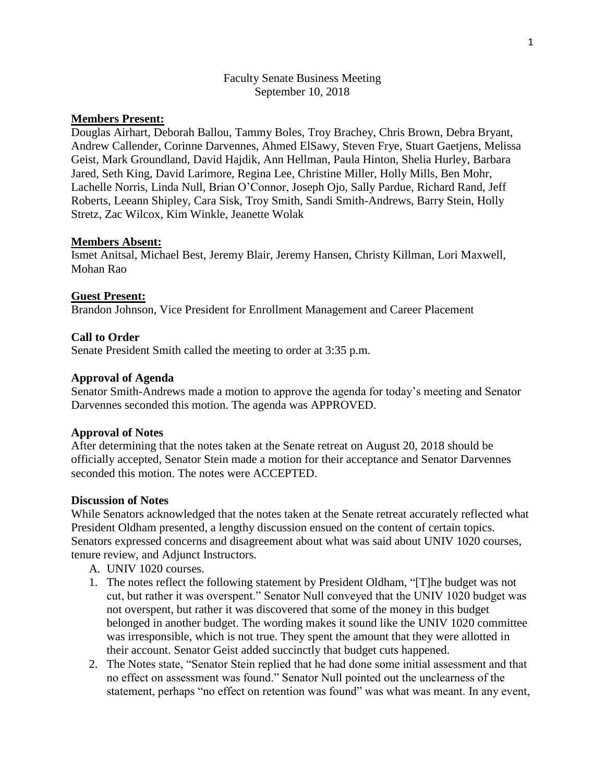## Faculty Senate Business Meeting September 10, 2018

# **Members Present:**

Douglas Airhart, Deborah Ballou, Tammy Boles, Troy Brachey, Chris Brown, Debra Bryant, Andrew Callender, Corinne Darvennes, Ahmed ElSawy, Steven Frye, Stuart Gaetjens, Melissa Geist, Mark Groundland, David Hajdik, Ann Hellman, Paula Hinton, Shelia Hurley, Barbara Jared, Seth King, David Larimore, Regina Lee, Christine Miller, Holly Mills, Ben Mohr, Lachelle Norris, Linda Null, Brian O'Connor, Joseph Ojo, Sally Pardue, Richard Rand, Jeff Roberts, Leeann Shipley, Cara Sisk, Troy Smith, Sandi Smith-Andrews, Barry Stein, Holly Stretz, Zac Wilcox, Kim Winkle, Jeanette Wolak

## **Members Absent:**

Ismet Anitsal, Michael Best, Jeremy Blair, Jeremy Hansen, Christy Killman, Lori Maxwell, Mohan Rao

## **Guest Present:**

Brandon Johnson, Vice President for Enrollment Management and Career Placement

## **Call to Order**

Senate President Smith called the meeting to order at 3:35 p.m.

#### **Approval of Agenda**

Senator Smith-Andrews made a motion to approve the agenda for today's meeting and Senator Darvennes seconded this motion. The agenda was APPROVED.

#### **Approval of Notes**

After determining that the notes taken at the Senate retreat on August 20, 2018 should be officially accepted, Senator Stein made a motion for their acceptance and Senator Darvennes seconded this motion. The notes were ACCEPTED.

#### **Discussion of Notes**

While Senators acknowledged that the notes taken at the Senate retreat accurately reflected what President Oldham presented, a lengthy discussion ensued on the content of certain topics. Senators expressed concerns and disagreement about what was said about UNIV 1020 courses, tenure review, and Adjunct Instructors.

- A. UNIV 1020 courses.
- 1. The notes reflect the following statement by President Oldham, "[T]he budget was not cut, but rather it was overspent." Senator Null conveyed that the UNIV 1020 budget was not overspent, but rather it was discovered that some of the money in this budget belonged in another budget. The wording makes it sound like the UNIV 1020 committee was irresponsible, which is not true. They spent the amount that they were allotted in their account. Senator Geist added succinctly that budget cuts happened.
- 2. The Notes state, "Senator Stein replied that he had done some initial assessment and that no effect on assessment was found." Senator Null pointed out the unclearness of the statement, perhaps "no effect on retention was found" was what was meant. In any event,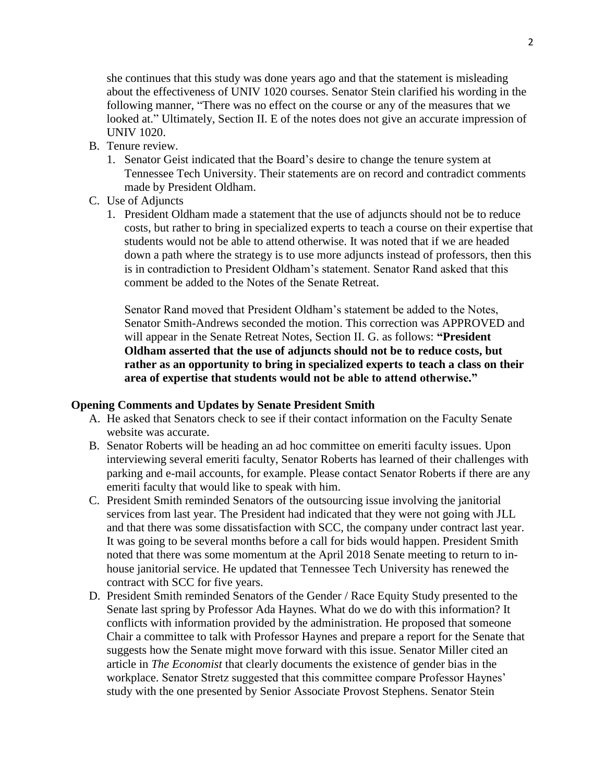she continues that this study was done years ago and that the statement is misleading about the effectiveness of UNIV 1020 courses. Senator Stein clarified his wording in the following manner, "There was no effect on the course or any of the measures that we looked at." Ultimately, Section II. E of the notes does not give an accurate impression of UNIV 1020.

- B. Tenure review.
	- 1. Senator Geist indicated that the Board's desire to change the tenure system at Tennessee Tech University. Their statements are on record and contradict comments made by President Oldham.
- C. Use of Adjuncts
	- 1. President Oldham made a statement that the use of adjuncts should not be to reduce costs, but rather to bring in specialized experts to teach a course on their expertise that students would not be able to attend otherwise. It was noted that if we are headed down a path where the strategy is to use more adjuncts instead of professors, then this is in contradiction to President Oldham's statement. Senator Rand asked that this comment be added to the Notes of the Senate Retreat.

Senator Rand moved that President Oldham's statement be added to the Notes, Senator Smith-Andrews seconded the motion. This correction was APPROVED and will appear in the Senate Retreat Notes, Section II. G. as follows: **"President Oldham asserted that the use of adjuncts should not be to reduce costs, but rather as an opportunity to bring in specialized experts to teach a class on their area of expertise that students would not be able to attend otherwise."**

#### **Opening Comments and Updates by Senate President Smith**

- A. He asked that Senators check to see if their contact information on the Faculty Senate website was accurate.
- B. Senator Roberts will be heading an ad hoc committee on emeriti faculty issues. Upon interviewing several emeriti faculty, Senator Roberts has learned of their challenges with parking and e-mail accounts, for example. Please contact Senator Roberts if there are any emeriti faculty that would like to speak with him.
- C. President Smith reminded Senators of the outsourcing issue involving the janitorial services from last year. The President had indicated that they were not going with JLL and that there was some dissatisfaction with SCC, the company under contract last year. It was going to be several months before a call for bids would happen. President Smith noted that there was some momentum at the April 2018 Senate meeting to return to inhouse janitorial service. He updated that Tennessee Tech University has renewed the contract with SCC for five years.
- D. President Smith reminded Senators of the Gender / Race Equity Study presented to the Senate last spring by Professor Ada Haynes. What do we do with this information? It conflicts with information provided by the administration. He proposed that someone Chair a committee to talk with Professor Haynes and prepare a report for the Senate that suggests how the Senate might move forward with this issue. Senator Miller cited an article in *The Economist* that clearly documents the existence of gender bias in the workplace. Senator Stretz suggested that this committee compare Professor Haynes' study with the one presented by Senior Associate Provost Stephens. Senator Stein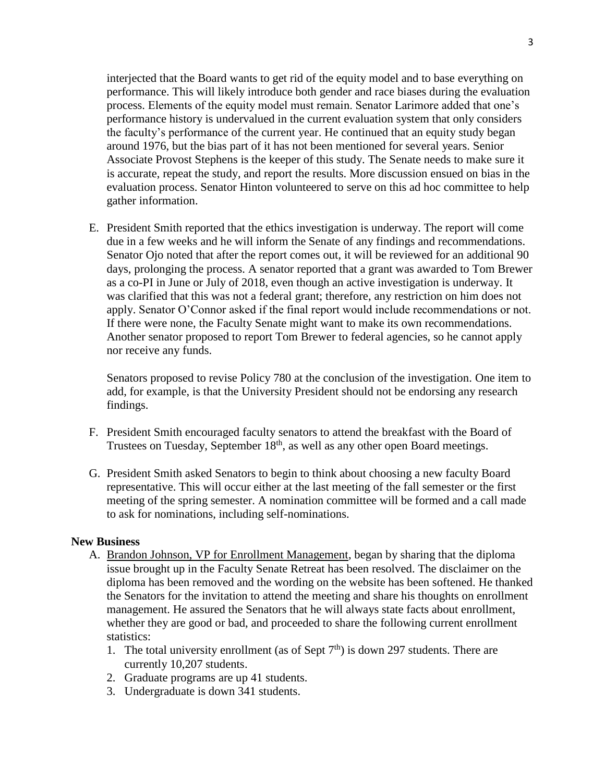interjected that the Board wants to get rid of the equity model and to base everything on performance. This will likely introduce both gender and race biases during the evaluation process. Elements of the equity model must remain. Senator Larimore added that one's performance history is undervalued in the current evaluation system that only considers the faculty's performance of the current year. He continued that an equity study began around 1976, but the bias part of it has not been mentioned for several years. Senior Associate Provost Stephens is the keeper of this study. The Senate needs to make sure it is accurate, repeat the study, and report the results. More discussion ensued on bias in the evaluation process. Senator Hinton volunteered to serve on this ad hoc committee to help gather information.

E. President Smith reported that the ethics investigation is underway. The report will come due in a few weeks and he will inform the Senate of any findings and recommendations. Senator Ojo noted that after the report comes out, it will be reviewed for an additional 90 days, prolonging the process. A senator reported that a grant was awarded to Tom Brewer as a co-PI in June or July of 2018, even though an active investigation is underway. It was clarified that this was not a federal grant; therefore, any restriction on him does not apply. Senator O'Connor asked if the final report would include recommendations or not. If there were none, the Faculty Senate might want to make its own recommendations. Another senator proposed to report Tom Brewer to federal agencies, so he cannot apply nor receive any funds.

Senators proposed to revise Policy 780 at the conclusion of the investigation. One item to add, for example, is that the University President should not be endorsing any research findings.

- F. President Smith encouraged faculty senators to attend the breakfast with the Board of Trustees on Tuesday, September 18<sup>th</sup>, as well as any other open Board meetings.
- G. President Smith asked Senators to begin to think about choosing a new faculty Board representative. This will occur either at the last meeting of the fall semester or the first meeting of the spring semester. A nomination committee will be formed and a call made to ask for nominations, including self-nominations.

#### **New Business**

- A. Brandon Johnson, VP for Enrollment Management, began by sharing that the diploma issue brought up in the Faculty Senate Retreat has been resolved. The disclaimer on the diploma has been removed and the wording on the website has been softened. He thanked the Senators for the invitation to attend the meeting and share his thoughts on enrollment management. He assured the Senators that he will always state facts about enrollment, whether they are good or bad, and proceeded to share the following current enrollment statistics:
	- 1. The total university enrollment (as of Sept  $7<sup>th</sup>$ ) is down 297 students. There are currently 10,207 students.
	- 2. Graduate programs are up 41 students.
	- 3. Undergraduate is down 341 students.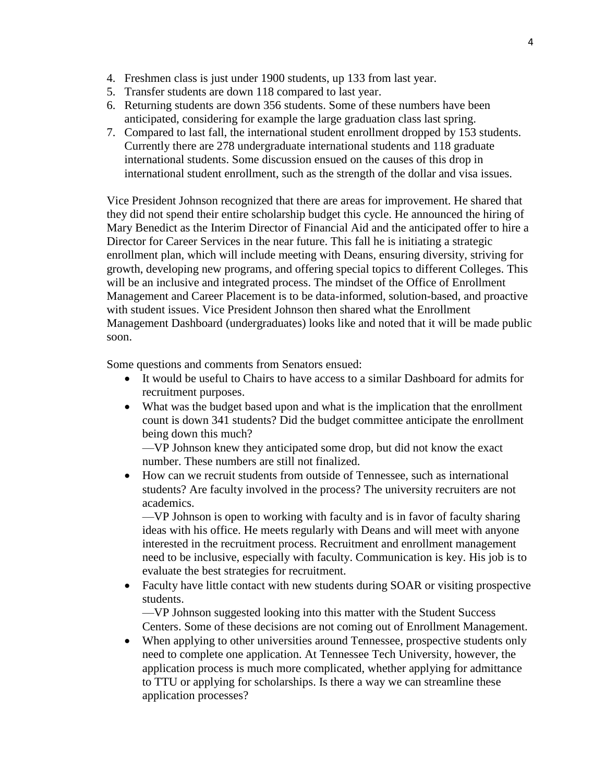- 4. Freshmen class is just under 1900 students, up 133 from last year.
- 5. Transfer students are down 118 compared to last year.
- 6. Returning students are down 356 students. Some of these numbers have been anticipated, considering for example the large graduation class last spring.
- 7. Compared to last fall, the international student enrollment dropped by 153 students. Currently there are 278 undergraduate international students and 118 graduate international students. Some discussion ensued on the causes of this drop in international student enrollment, such as the strength of the dollar and visa issues.

Vice President Johnson recognized that there are areas for improvement. He shared that they did not spend their entire scholarship budget this cycle. He announced the hiring of Mary Benedict as the Interim Director of Financial Aid and the anticipated offer to hire a Director for Career Services in the near future. This fall he is initiating a strategic enrollment plan, which will include meeting with Deans, ensuring diversity, striving for growth, developing new programs, and offering special topics to different Colleges. This will be an inclusive and integrated process. The mindset of the Office of Enrollment Management and Career Placement is to be data-informed, solution-based, and proactive with student issues. Vice President Johnson then shared what the Enrollment Management Dashboard (undergraduates) looks like and noted that it will be made public soon.

Some questions and comments from Senators ensued:

- It would be useful to Chairs to have access to a similar Dashboard for admits for recruitment purposes.
- What was the budget based upon and what is the implication that the enrollment count is down 341 students? Did the budget committee anticipate the enrollment being down this much?

—VP Johnson knew they anticipated some drop, but did not know the exact number. These numbers are still not finalized.

 How can we recruit students from outside of Tennessee, such as international students? Are faculty involved in the process? The university recruiters are not academics.

—VP Johnson is open to working with faculty and is in favor of faculty sharing ideas with his office. He meets regularly with Deans and will meet with anyone interested in the recruitment process. Recruitment and enrollment management need to be inclusive, especially with faculty. Communication is key. His job is to evaluate the best strategies for recruitment.

• Faculty have little contact with new students during SOAR or visiting prospective students.

—VP Johnson suggested looking into this matter with the Student Success Centers. Some of these decisions are not coming out of Enrollment Management.

• When applying to other universities around Tennessee, prospective students only need to complete one application. At Tennessee Tech University, however, the application process is much more complicated, whether applying for admittance to TTU or applying for scholarships. Is there a way we can streamline these application processes?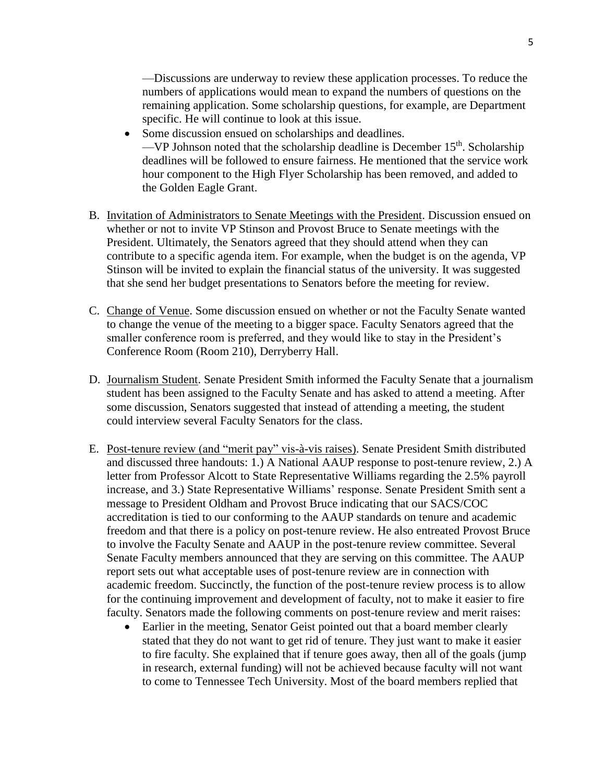- Some discussion ensued on scholarships and deadlines. —VP Johnson noted that the scholarship deadline is December  $15<sup>th</sup>$ . Scholarship deadlines will be followed to ensure fairness. He mentioned that the service work hour component to the High Flyer Scholarship has been removed, and added to the Golden Eagle Grant.
- B. Invitation of Administrators to Senate Meetings with the President. Discussion ensued on whether or not to invite VP Stinson and Provost Bruce to Senate meetings with the President. Ultimately, the Senators agreed that they should attend when they can contribute to a specific agenda item. For example, when the budget is on the agenda, VP Stinson will be invited to explain the financial status of the university. It was suggested that she send her budget presentations to Senators before the meeting for review.
- C. Change of Venue. Some discussion ensued on whether or not the Faculty Senate wanted to change the venue of the meeting to a bigger space. Faculty Senators agreed that the smaller conference room is preferred, and they would like to stay in the President's Conference Room (Room 210), Derryberry Hall.
- D. Journalism Student. Senate President Smith informed the Faculty Senate that a journalism student has been assigned to the Faculty Senate and has asked to attend a meeting. After some discussion, Senators suggested that instead of attending a meeting, the student could interview several Faculty Senators for the class.
- E. Post-tenure review (and "merit pay" vis-à-vis raises). Senate President Smith distributed and discussed three handouts: 1.) A National AAUP response to post-tenure review, 2.) A letter from Professor Alcott to State Representative Williams regarding the 2.5% payroll increase, and 3.) State Representative Williams' response. Senate President Smith sent a message to President Oldham and Provost Bruce indicating that our SACS/COC accreditation is tied to our conforming to the AAUP standards on tenure and academic freedom and that there is a policy on post-tenure review. He also entreated Provost Bruce to involve the Faculty Senate and AAUP in the post-tenure review committee. Several Senate Faculty members announced that they are serving on this committee. The AAUP report sets out what acceptable uses of post-tenure review are in connection with academic freedom. Succinctly, the function of the post-tenure review process is to allow for the continuing improvement and development of faculty, not to make it easier to fire faculty. Senators made the following comments on post-tenure review and merit raises:
	- Earlier in the meeting, Senator Geist pointed out that a board member clearly stated that they do not want to get rid of tenure. They just want to make it easier to fire faculty. She explained that if tenure goes away, then all of the goals (jump in research, external funding) will not be achieved because faculty will not want to come to Tennessee Tech University. Most of the board members replied that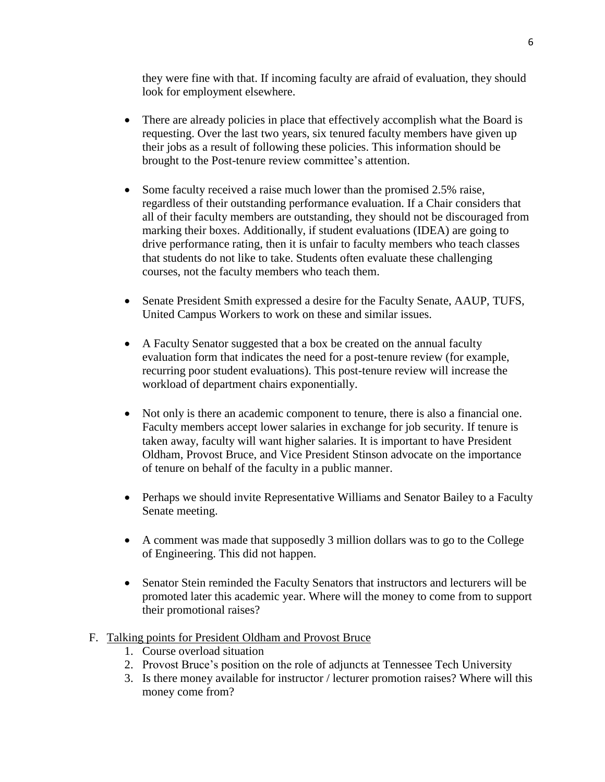they were fine with that. If incoming faculty are afraid of evaluation, they should look for employment elsewhere.

- There are already policies in place that effectively accomplish what the Board is requesting. Over the last two years, six tenured faculty members have given up their jobs as a result of following these policies. This information should be brought to the Post-tenure review committee's attention.
- Some faculty received a raise much lower than the promised 2.5% raise, regardless of their outstanding performance evaluation. If a Chair considers that all of their faculty members are outstanding, they should not be discouraged from marking their boxes. Additionally, if student evaluations (IDEA) are going to drive performance rating, then it is unfair to faculty members who teach classes that students do not like to take. Students often evaluate these challenging courses, not the faculty members who teach them.
- Senate President Smith expressed a desire for the Faculty Senate, AAUP, TUFS, United Campus Workers to work on these and similar issues.
- A Faculty Senator suggested that a box be created on the annual faculty evaluation form that indicates the need for a post-tenure review (for example, recurring poor student evaluations). This post-tenure review will increase the workload of department chairs exponentially.
- Not only is there an academic component to tenure, there is also a financial one. Faculty members accept lower salaries in exchange for job security. If tenure is taken away, faculty will want higher salaries. It is important to have President Oldham, Provost Bruce, and Vice President Stinson advocate on the importance of tenure on behalf of the faculty in a public manner.
- Perhaps we should invite Representative Williams and Senator Bailey to a Faculty Senate meeting.
- A comment was made that supposedly 3 million dollars was to go to the College of Engineering. This did not happen.
- Senator Stein reminded the Faculty Senators that instructors and lecturers will be promoted later this academic year. Where will the money to come from to support their promotional raises?
- F. Talking points for President Oldham and Provost Bruce
	- 1. Course overload situation
	- 2. Provost Bruce's position on the role of adjuncts at Tennessee Tech University
	- 3. Is there money available for instructor / lecturer promotion raises? Where will this money come from?